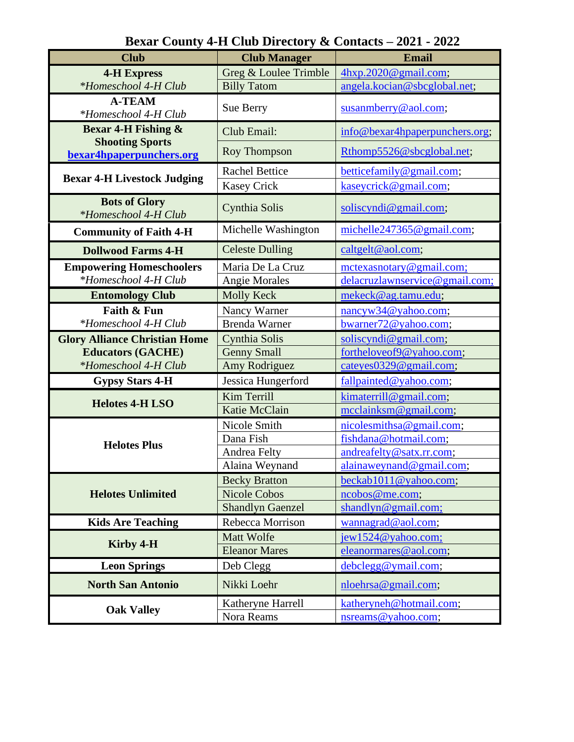| <b>Club</b>                                        | <b>Club Manager</b>     | Email                                        |
|----------------------------------------------------|-------------------------|----------------------------------------------|
| <b>4-H Express</b>                                 | Greg & Loulee Trimble   | 4hxp.2020@gmail.com;                         |
| *Homeschool 4-H Club                               | <b>Billy Tatom</b>      | angela.kocian@sbcglobal.net;                 |
| <b>A-TEAM</b><br>*Homeschool 4-H Club              | Sue Berry               | susanmberry@aol.com;                         |
| <b>Bexar 4-H Fishing &amp;</b>                     | Club Email:             | info@bexar4hpaperpunchers.org;               |
| <b>Shooting Sports</b><br>bexar4hpaperpunchers.org | <b>Roy Thompson</b>     | Rthomp5526@sbcglobal.net;                    |
| <b>Bexar 4-H Livestock Judging</b>                 | <b>Rachel Bettice</b>   | betticefamily@gmail.com;                     |
|                                                    | <b>Kasey Crick</b>      | kaseycrick@gmail.com;                        |
| <b>Bots of Glory</b><br>*Homeschool 4-H Club       | Cynthia Solis           | solicyndi@gmail.com;                         |
| <b>Community of Faith 4-H</b>                      | Michelle Washington     | michelle $247365@$ gmail.com;                |
| <b>Dollwood Farms 4-H</b>                          | <b>Celeste Dulling</b>  | caltgelt@aol.com;                            |
| <b>Empowering Homeschoolers</b>                    | Maria De La Cruz        | mctexasnotary@gmail.com;                     |
| *Homeschool 4-H Club                               | <b>Angie Morales</b>    | delacruzlawnservice@gmail.com;               |
| <b>Entomology Club</b>                             | <b>Molly Keck</b>       | mekeck@ag.tamu.edu;                          |
| Faith & Fun                                        | Nancy Warner            | $n\frac{\text{nncyw34}}{Q}\text{valoo.com};$ |
| *Homeschool 4-H Club                               | <b>Brenda Warner</b>    | bwarner72@yahoo.com;                         |
| <b>Glory Alliance Christian Home</b>               | Cynthia Solis           | soliscyndi@gmail.com;                        |
| <b>Educators (GACHE)</b>                           | <b>Genny Small</b>      | fortheloveof9@yahoo.com;                     |
| *Homeschool 4-H Club                               | Amy Rodriguez           | cateyes0329@gmail.com;                       |
| <b>Gypsy Stars 4-H</b>                             | Jessica Hungerford      | fallpainted@yahoo.com;                       |
|                                                    | Kim Terrill             | kimaterrill@gmail.com;                       |
| <b>Helotes 4-H LSO</b>                             | Katie McClain           | mcclainksm@gmail.com;                        |
|                                                    | Nicole Smith            | nicolesmithsa@gmail.com;                     |
|                                                    | Dana Fish               | fishdana@hotmail.com;                        |
| <b>Helotes Plus</b>                                | Andrea Felty            | andreafelty@satx.rr.com;                     |
|                                                    | Alaina Weynand          | alainaweynand@gmail.com;                     |
|                                                    | <b>Becky Bratton</b>    | beckab1011@yahoo.com;                        |
| <b>Helotes Unlimited</b>                           | <b>Nicole Cobos</b>     | ncobos@me.com;                               |
|                                                    | <b>Shandlyn Gaenzel</b> | shandlyn@gmail.com;                          |
| <b>Kids Are Teaching</b>                           | Rebecca Morrison        | wannagrad@aol.com;                           |
| Kirby 4-H                                          | Matt Wolfe              | jew1524@yahoo.com;                           |
|                                                    | <b>Eleanor Mares</b>    | eleanormares@aol.com;                        |
| <b>Leon Springs</b>                                | Deb Clegg               | debclegg@ymail.com;                          |
| <b>North San Antonio</b>                           | Nikki Loehr             | nloehrsa@gmail.com;                          |
| <b>Oak Valley</b>                                  | Katheryne Harrell       | katheryneh@hotmail.com;                      |
|                                                    | Nora Reams              | nsreams@yahoo.com;                           |

**Bexar County 4-H Club Directory & Contacts – 2021 - 2022**